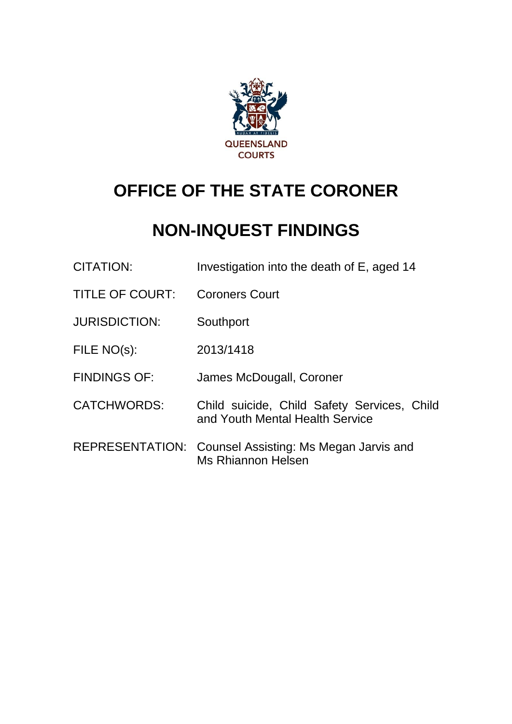

# **OFFICE OF THE STATE CORONER**

## **NON-INQUEST FINDINGS**

| <b>CITATION:</b>       | Investigation into the death of E, aged 14                                          |
|------------------------|-------------------------------------------------------------------------------------|
| <b>TITLE OF COURT:</b> | <b>Coroners Court</b>                                                               |
| <b>JURISDICTION:</b>   | Southport                                                                           |
| FILE NO(s):            | 2013/1418                                                                           |
| <b>FINDINGS OF:</b>    | James McDougall, Coroner                                                            |
| <b>CATCHWORDS:</b>     | Child suicide, Child Safety Services, Child<br>and Youth Mental Health Service      |
|                        | REPRESENTATION: Counsel Assisting: Ms Megan Jarvis and<br><b>Ms Rhiannon Helsen</b> |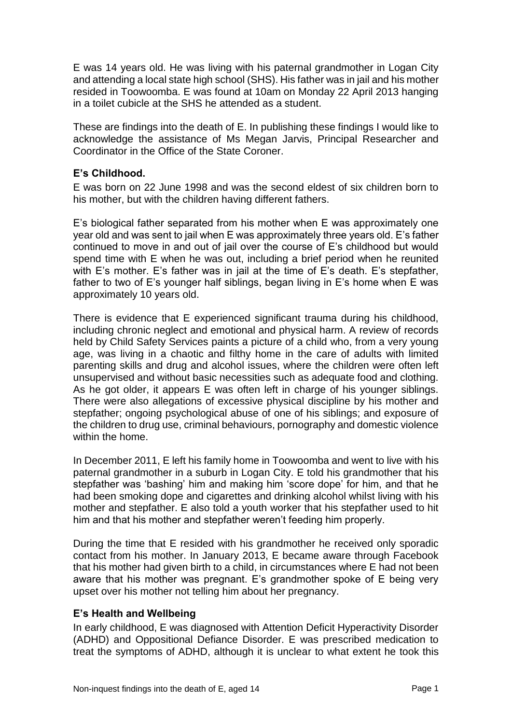E was 14 years old. He was living with his paternal grandmother in Logan City and attending a local state high school (SHS). His father was in jail and his mother resided in Toowoomba. E was found at 10am on Monday 22 April 2013 hanging in a toilet cubicle at the SHS he attended as a student.

These are findings into the death of E. In publishing these findings I would like to acknowledge the assistance of Ms Megan Jarvis, Principal Researcher and Coordinator in the Office of the State Coroner.

#### **E's Childhood.**

E was born on 22 June 1998 and was the second eldest of six children born to his mother, but with the children having different fathers.

E's biological father separated from his mother when E was approximately one year old and was sent to jail when E was approximately three years old. E's father continued to move in and out of jail over the course of E's childhood but would spend time with E when he was out, including a brief period when he reunited with E's mother. E's father was in jail at the time of E's death. E's stepfather, father to two of E's younger half siblings, began living in E's home when E was approximately 10 years old.

There is evidence that E experienced significant trauma during his childhood, including chronic neglect and emotional and physical harm. A review of records held by Child Safety Services paints a picture of a child who, from a very young age, was living in a chaotic and filthy home in the care of adults with limited parenting skills and drug and alcohol issues, where the children were often left unsupervised and without basic necessities such as adequate food and clothing. As he got older, it appears E was often left in charge of his younger siblings. There were also allegations of excessive physical discipline by his mother and stepfather; ongoing psychological abuse of one of his siblings; and exposure of the children to drug use, criminal behaviours, pornography and domestic violence within the home.

In December 2011, E left his family home in Toowoomba and went to live with his paternal grandmother in a suburb in Logan City. E told his grandmother that his stepfather was 'bashing' him and making him 'score dope' for him, and that he had been smoking dope and cigarettes and drinking alcohol whilst living with his mother and stepfather. E also told a youth worker that his stepfather used to hit him and that his mother and stepfather weren't feeding him properly.

During the time that E resided with his grandmother he received only sporadic contact from his mother. In January 2013, E became aware through Facebook that his mother had given birth to a child, in circumstances where E had not been aware that his mother was pregnant. E's grandmother spoke of E being very upset over his mother not telling him about her pregnancy.

#### **E's Health and Wellbeing**

In early childhood, E was diagnosed with Attention Deficit Hyperactivity Disorder (ADHD) and Oppositional Defiance Disorder. E was prescribed medication to treat the symptoms of ADHD, although it is unclear to what extent he took this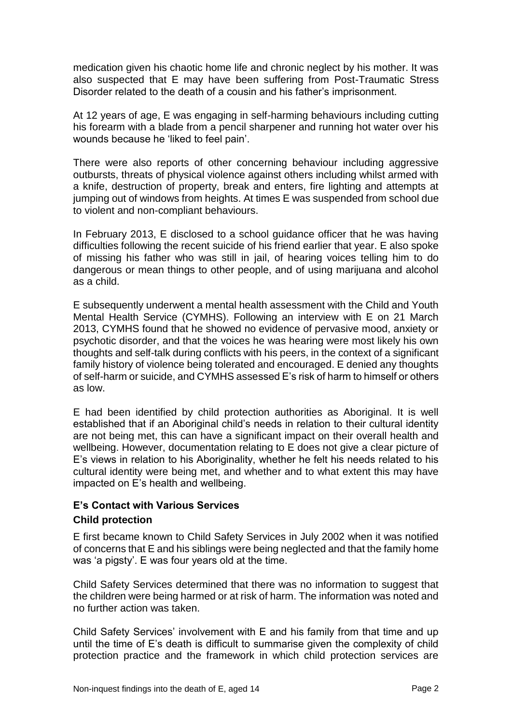medication given his chaotic home life and chronic neglect by his mother. It was also suspected that E may have been suffering from Post-Traumatic Stress Disorder related to the death of a cousin and his father's imprisonment.

At 12 years of age, E was engaging in self-harming behaviours including cutting his forearm with a blade from a pencil sharpener and running hot water over his wounds because he 'liked to feel pain'.

There were also reports of other concerning behaviour including aggressive outbursts, threats of physical violence against others including whilst armed with a knife, destruction of property, break and enters, fire lighting and attempts at jumping out of windows from heights. At times E was suspended from school due to violent and non-compliant behaviours.

In February 2013, E disclosed to a school guidance officer that he was having difficulties following the recent suicide of his friend earlier that year. E also spoke of missing his father who was still in jail, of hearing voices telling him to do dangerous or mean things to other people, and of using marijuana and alcohol as a child.

E subsequently underwent a mental health assessment with the Child and Youth Mental Health Service (CYMHS). Following an interview with E on 21 March 2013, CYMHS found that he showed no evidence of pervasive mood, anxiety or psychotic disorder, and that the voices he was hearing were most likely his own thoughts and self-talk during conflicts with his peers, in the context of a significant family history of violence being tolerated and encouraged. E denied any thoughts of self-harm or suicide, and CYMHS assessed E's risk of harm to himself or others as low.

E had been identified by child protection authorities as Aboriginal. It is well established that if an Aboriginal child's needs in relation to their cultural identity are not being met, this can have a significant impact on their overall health and wellbeing. However, documentation relating to E does not give a clear picture of E's views in relation to his Aboriginality, whether he felt his needs related to his cultural identity were being met, and whether and to what extent this may have impacted on E's health and wellbeing.

## **E's Contact with Various Services Child protection**

E first became known to Child Safety Services in July 2002 when it was notified of concerns that E and his siblings were being neglected and that the family home was 'a pigsty'. E was four years old at the time.

Child Safety Services determined that there was no information to suggest that the children were being harmed or at risk of harm. The information was noted and no further action was taken.

Child Safety Services' involvement with E and his family from that time and up until the time of E's death is difficult to summarise given the complexity of child protection practice and the framework in which child protection services are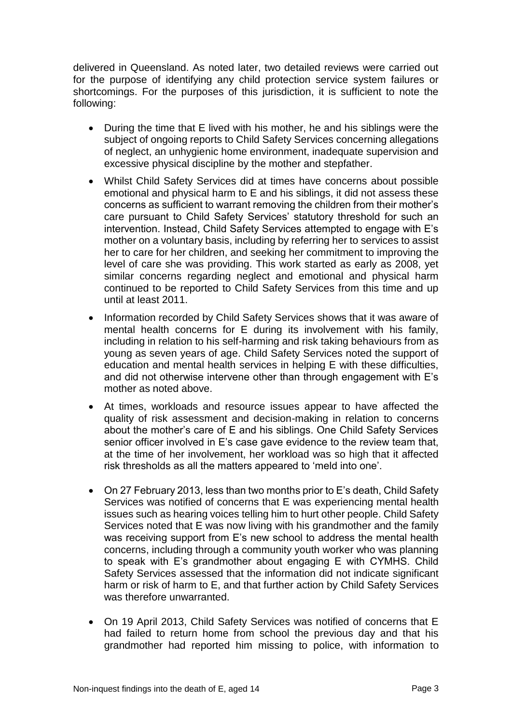delivered in Queensland. As noted later, two detailed reviews were carried out for the purpose of identifying any child protection service system failures or shortcomings. For the purposes of this jurisdiction, it is sufficient to note the following:

- During the time that E lived with his mother, he and his siblings were the subject of ongoing reports to Child Safety Services concerning allegations of neglect, an unhygienic home environment, inadequate supervision and excessive physical discipline by the mother and stepfather.
- Whilst Child Safety Services did at times have concerns about possible emotional and physical harm to E and his siblings, it did not assess these concerns as sufficient to warrant removing the children from their mother's care pursuant to Child Safety Services' statutory threshold for such an intervention. Instead, Child Safety Services attempted to engage with E's mother on a voluntary basis, including by referring her to services to assist her to care for her children, and seeking her commitment to improving the level of care she was providing. This work started as early as 2008, yet similar concerns regarding neglect and emotional and physical harm continued to be reported to Child Safety Services from this time and up until at least 2011.
- Information recorded by Child Safety Services shows that it was aware of mental health concerns for E during its involvement with his family, including in relation to his self-harming and risk taking behaviours from as young as seven years of age. Child Safety Services noted the support of education and mental health services in helping E with these difficulties, and did not otherwise intervene other than through engagement with E's mother as noted above.
- At times, workloads and resource issues appear to have affected the quality of risk assessment and decision-making in relation to concerns about the mother's care of E and his siblings. One Child Safety Services senior officer involved in E's case gave evidence to the review team that, at the time of her involvement, her workload was so high that it affected risk thresholds as all the matters appeared to 'meld into one'.
- On 27 February 2013, less than two months prior to E's death, Child Safety Services was notified of concerns that E was experiencing mental health issues such as hearing voices telling him to hurt other people. Child Safety Services noted that E was now living with his grandmother and the family was receiving support from E's new school to address the mental health concerns, including through a community youth worker who was planning to speak with E's grandmother about engaging E with CYMHS. Child Safety Services assessed that the information did not indicate significant harm or risk of harm to E, and that further action by Child Safety Services was therefore unwarranted.
- On 19 April 2013, Child Safety Services was notified of concerns that E had failed to return home from school the previous day and that his grandmother had reported him missing to police, with information to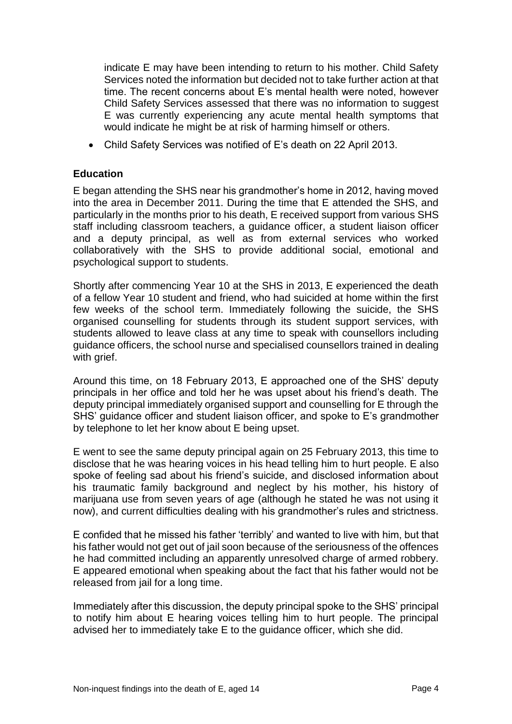indicate E may have been intending to return to his mother. Child Safety Services noted the information but decided not to take further action at that time. The recent concerns about E's mental health were noted, however Child Safety Services assessed that there was no information to suggest E was currently experiencing any acute mental health symptoms that would indicate he might be at risk of harming himself or others.

Child Safety Services was notified of E's death on 22 April 2013.

#### **Education**

E began attending the SHS near his grandmother's home in 2012, having moved into the area in December 2011. During the time that E attended the SHS, and particularly in the months prior to his death, E received support from various SHS staff including classroom teachers, a guidance officer, a student liaison officer and a deputy principal, as well as from external services who worked collaboratively with the SHS to provide additional social, emotional and psychological support to students.

Shortly after commencing Year 10 at the SHS in 2013, E experienced the death of a fellow Year 10 student and friend, who had suicided at home within the first few weeks of the school term. Immediately following the suicide, the SHS organised counselling for students through its student support services, with students allowed to leave class at any time to speak with counsellors including guidance officers, the school nurse and specialised counsellors trained in dealing with arief.

Around this time, on 18 February 2013, E approached one of the SHS' deputy principals in her office and told her he was upset about his friend's death. The deputy principal immediately organised support and counselling for E through the SHS' guidance officer and student liaison officer, and spoke to E's grandmother by telephone to let her know about E being upset.

E went to see the same deputy principal again on 25 February 2013, this time to disclose that he was hearing voices in his head telling him to hurt people. E also spoke of feeling sad about his friend's suicide, and disclosed information about his traumatic family background and neglect by his mother, his history of marijuana use from seven years of age (although he stated he was not using it now), and current difficulties dealing with his grandmother's rules and strictness.

E confided that he missed his father 'terribly' and wanted to live with him, but that his father would not get out of jail soon because of the seriousness of the offences he had committed including an apparently unresolved charge of armed robbery. E appeared emotional when speaking about the fact that his father would not be released from jail for a long time.

Immediately after this discussion, the deputy principal spoke to the SHS' principal to notify him about E hearing voices telling him to hurt people. The principal advised her to immediately take E to the guidance officer, which she did.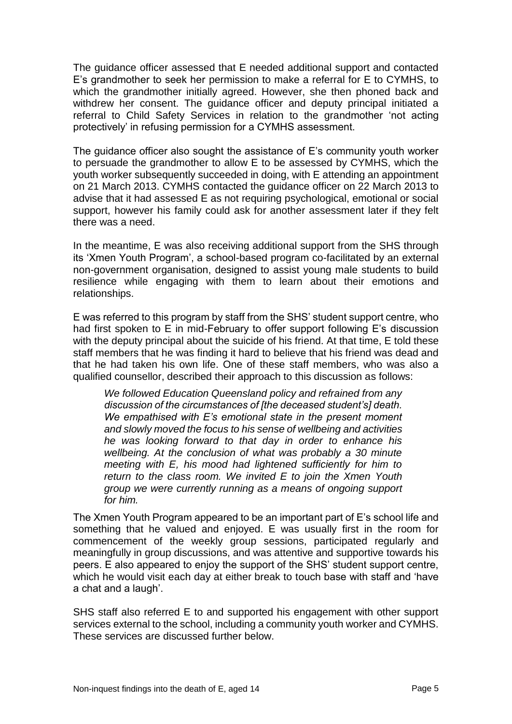The guidance officer assessed that E needed additional support and contacted E's grandmother to seek her permission to make a referral for E to CYMHS, to which the grandmother initially agreed. However, she then phoned back and withdrew her consent. The guidance officer and deputy principal initiated a referral to Child Safety Services in relation to the grandmother 'not acting protectively' in refusing permission for a CYMHS assessment.

The guidance officer also sought the assistance of E's community youth worker to persuade the grandmother to allow E to be assessed by CYMHS, which the youth worker subsequently succeeded in doing, with E attending an appointment on 21 March 2013. CYMHS contacted the guidance officer on 22 March 2013 to advise that it had assessed E as not requiring psychological, emotional or social support, however his family could ask for another assessment later if they felt there was a need.

In the meantime, E was also receiving additional support from the SHS through its 'Xmen Youth Program', a school-based program co-facilitated by an external non-government organisation, designed to assist young male students to build resilience while engaging with them to learn about their emotions and relationships.

E was referred to this program by staff from the SHS' student support centre, who had first spoken to E in mid-February to offer support following E's discussion with the deputy principal about the suicide of his friend. At that time, E told these staff members that he was finding it hard to believe that his friend was dead and that he had taken his own life. One of these staff members, who was also a qualified counsellor, described their approach to this discussion as follows:

*We followed Education Queensland policy and refrained from any discussion of the circumstances of [the deceased student's] death. We empathised with E's emotional state in the present moment and slowly moved the focus to his sense of wellbeing and activities he was looking forward to that day in order to enhance his wellbeing. At the conclusion of what was probably a 30 minute meeting with E, his mood had lightened sufficiently for him to return to the class room. We invited E to join the Xmen Youth group we were currently running as a means of ongoing support for him.* 

The Xmen Youth Program appeared to be an important part of E's school life and something that he valued and enjoyed. E was usually first in the room for commencement of the weekly group sessions, participated regularly and meaningfully in group discussions, and was attentive and supportive towards his peers. E also appeared to enjoy the support of the SHS' student support centre, which he would visit each day at either break to touch base with staff and 'have a chat and a laugh'.

SHS staff also referred E to and supported his engagement with other support services external to the school, including a community youth worker and CYMHS. These services are discussed further below.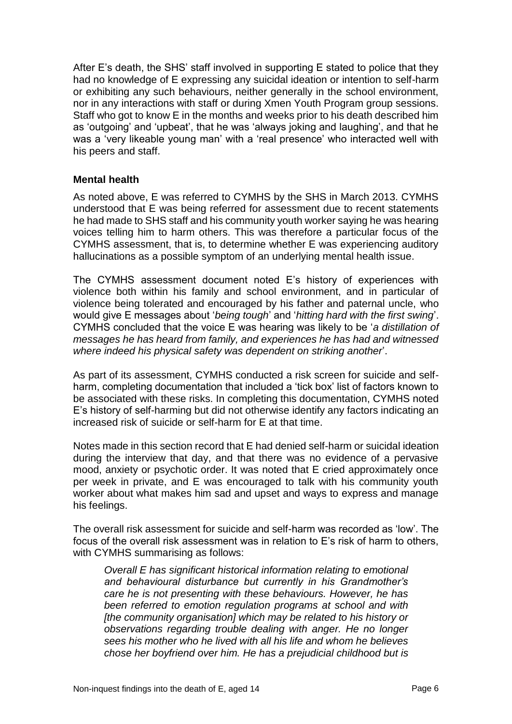After E's death, the SHS' staff involved in supporting E stated to police that they had no knowledge of E expressing any suicidal ideation or intention to self-harm or exhibiting any such behaviours, neither generally in the school environment, nor in any interactions with staff or during Xmen Youth Program group sessions. Staff who got to know E in the months and weeks prior to his death described him as 'outgoing' and 'upbeat', that he was 'always joking and laughing', and that he was a 'very likeable young man' with a 'real presence' who interacted well with his peers and staff.

#### **Mental health**

As noted above, E was referred to CYMHS by the SHS in March 2013. CYMHS understood that E was being referred for assessment due to recent statements he had made to SHS staff and his community youth worker saying he was hearing voices telling him to harm others. This was therefore a particular focus of the CYMHS assessment, that is, to determine whether E was experiencing auditory hallucinations as a possible symptom of an underlying mental health issue.

The CYMHS assessment document noted E's history of experiences with violence both within his family and school environment, and in particular of violence being tolerated and encouraged by his father and paternal uncle, who would give E messages about '*being tough*' and '*hitting hard with the first swing*'. CYMHS concluded that the voice E was hearing was likely to be '*a distillation of messages he has heard from family, and experiences he has had and witnessed where indeed his physical safety was dependent on striking another*'.

As part of its assessment, CYMHS conducted a risk screen for suicide and selfharm, completing documentation that included a 'tick box' list of factors known to be associated with these risks. In completing this documentation, CYMHS noted E's history of self-harming but did not otherwise identify any factors indicating an increased risk of suicide or self-harm for E at that time.

Notes made in this section record that E had denied self-harm or suicidal ideation during the interview that day, and that there was no evidence of a pervasive mood, anxiety or psychotic order. It was noted that E cried approximately once per week in private, and E was encouraged to talk with his community youth worker about what makes him sad and upset and ways to express and manage his feelings.

The overall risk assessment for suicide and self-harm was recorded as 'low'. The focus of the overall risk assessment was in relation to E's risk of harm to others, with CYMHS summarising as follows:

*Overall E has significant historical information relating to emotional and behavioural disturbance but currently in his Grandmother's care he is not presenting with these behaviours. However, he has been referred to emotion regulation programs at school and with [the community organisation] which may be related to his history or observations regarding trouble dealing with anger. He no longer sees his mother who he lived with all his life and whom he believes chose her boyfriend over him. He has a prejudicial childhood but is*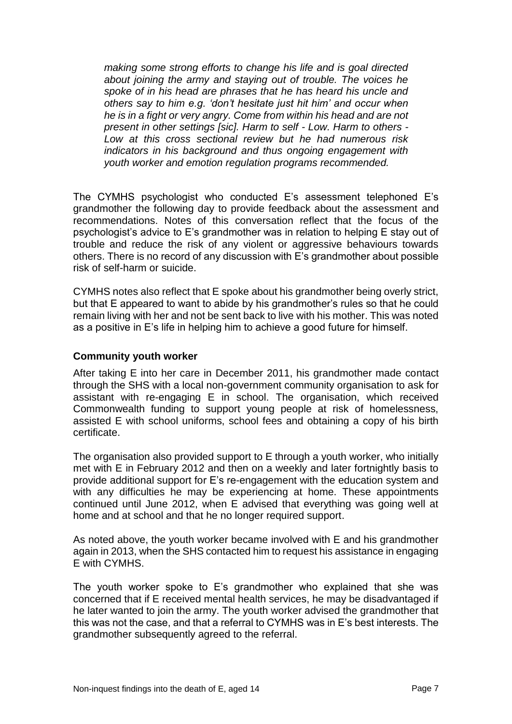*making some strong efforts to change his life and is goal directed about joining the army and staying out of trouble. The voices he spoke of in his head are phrases that he has heard his uncle and others say to him e.g. 'don't hesitate just hit him' and occur when he is in a fight or very angry. Come from within his head and are not present in other settings [sic]. Harm to self - Low. Harm to others - Low at this cross sectional review but he had numerous risk indicators in his background and thus ongoing engagement with youth worker and emotion regulation programs recommended.*

The CYMHS psychologist who conducted E's assessment telephoned E's grandmother the following day to provide feedback about the assessment and recommendations. Notes of this conversation reflect that the focus of the psychologist's advice to E's grandmother was in relation to helping E stay out of trouble and reduce the risk of any violent or aggressive behaviours towards others. There is no record of any discussion with E's grandmother about possible risk of self-harm or suicide.

CYMHS notes also reflect that E spoke about his grandmother being overly strict, but that E appeared to want to abide by his grandmother's rules so that he could remain living with her and not be sent back to live with his mother. This was noted as a positive in E's life in helping him to achieve a good future for himself.

#### **Community youth worker**

After taking E into her care in December 2011, his grandmother made contact through the SHS with a local non-government community organisation to ask for assistant with re-engaging E in school. The organisation, which received Commonwealth funding to support young people at risk of homelessness, assisted E with school uniforms, school fees and obtaining a copy of his birth certificate.

The organisation also provided support to E through a youth worker, who initially met with E in February 2012 and then on a weekly and later fortnightly basis to provide additional support for E's re-engagement with the education system and with any difficulties he may be experiencing at home. These appointments continued until June 2012, when E advised that everything was going well at home and at school and that he no longer required support.

As noted above, the youth worker became involved with E and his grandmother again in 2013, when the SHS contacted him to request his assistance in engaging E with CYMHS.

The youth worker spoke to E's grandmother who explained that she was concerned that if E received mental health services, he may be disadvantaged if he later wanted to join the army. The youth worker advised the grandmother that this was not the case, and that a referral to CYMHS was in E's best interests. The grandmother subsequently agreed to the referral.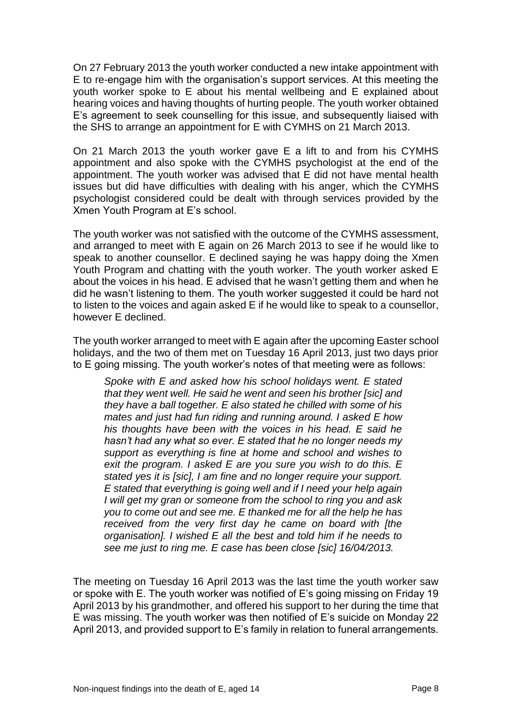On 27 February 2013 the youth worker conducted a new intake appointment with E to re-engage him with the organisation's support services. At this meeting the youth worker spoke to E about his mental wellbeing and E explained about hearing voices and having thoughts of hurting people. The youth worker obtained E's agreement to seek counselling for this issue, and subsequently liaised with the SHS to arrange an appointment for E with CYMHS on 21 March 2013.

On 21 March 2013 the youth worker gave E a lift to and from his CYMHS appointment and also spoke with the CYMHS psychologist at the end of the appointment. The youth worker was advised that E did not have mental health issues but did have difficulties with dealing with his anger, which the CYMHS psychologist considered could be dealt with through services provided by the Xmen Youth Program at E's school.

The youth worker was not satisfied with the outcome of the CYMHS assessment, and arranged to meet with E again on 26 March 2013 to see if he would like to speak to another counsellor. E declined saying he was happy doing the Xmen Youth Program and chatting with the youth worker. The youth worker asked E about the voices in his head. E advised that he wasn't getting them and when he did he wasn't listening to them. The youth worker suggested it could be hard not to listen to the voices and again asked E if he would like to speak to a counsellor, however E declined.

The youth worker arranged to meet with E again after the upcoming Easter school holidays, and the two of them met on Tuesday 16 April 2013, just two days prior to E going missing. The youth worker's notes of that meeting were as follows:

*Spoke with E and asked how his school holidays went. E stated that they went well. He said he went and seen his brother [sic] and they have a ball together. E also stated he chilled with some of his mates and just had fun riding and running around. I asked E how his thoughts have been with the voices in his head. E said he hasn't had any what so ever. E stated that he no longer needs my support as everything is fine at home and school and wishes to exit the program. I asked E are you sure you wish to do this. E stated yes it is [sic], I am fine and no longer require your support. E stated that everything is going well and if I need your help again I will get my gran or someone from the school to ring you and ask you to come out and see me. E thanked me for all the help he has received from the very first day he came on board with [the organisation]. I wished E all the best and told him if he needs to see me just to ring me. E case has been close [sic] 16/04/2013.*

The meeting on Tuesday 16 April 2013 was the last time the youth worker saw or spoke with E. The youth worker was notified of E's going missing on Friday 19 April 2013 by his grandmother, and offered his support to her during the time that E was missing. The youth worker was then notified of E's suicide on Monday 22 April 2013, and provided support to E's family in relation to funeral arrangements.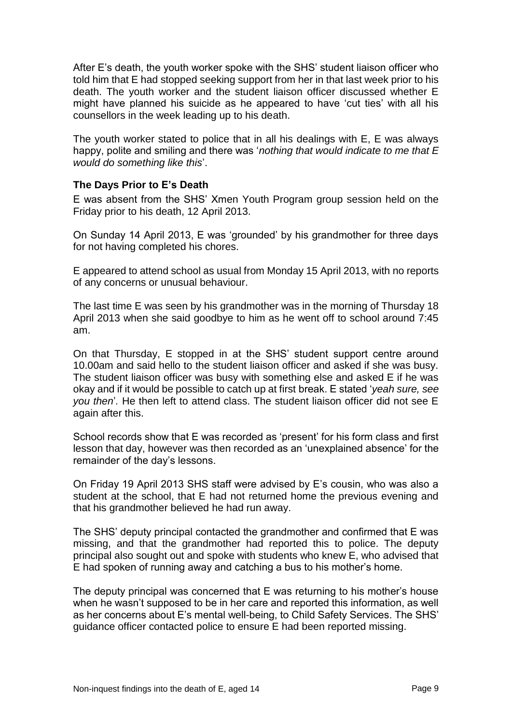After E's death, the youth worker spoke with the SHS' student liaison officer who told him that E had stopped seeking support from her in that last week prior to his death. The youth worker and the student liaison officer discussed whether E might have planned his suicide as he appeared to have 'cut ties' with all his counsellors in the week leading up to his death.

The youth worker stated to police that in all his dealings with E, E was always happy, polite and smiling and there was '*nothing that would indicate to me that E would do something like this*'.

#### **The Days Prior to E's Death**

E was absent from the SHS' Xmen Youth Program group session held on the Friday prior to his death, 12 April 2013.

On Sunday 14 April 2013, E was 'grounded' by his grandmother for three days for not having completed his chores.

E appeared to attend school as usual from Monday 15 April 2013, with no reports of any concerns or unusual behaviour.

The last time E was seen by his grandmother was in the morning of Thursday 18 April 2013 when she said goodbye to him as he went off to school around 7:45 am.

On that Thursday, E stopped in at the SHS' student support centre around 10.00am and said hello to the student liaison officer and asked if she was busy. The student liaison officer was busy with something else and asked E if he was okay and if it would be possible to catch up at first break. E stated '*yeah sure, see you then*'*.* He then left to attend class. The student liaison officer did not see E again after this.

School records show that E was recorded as 'present' for his form class and first lesson that day, however was then recorded as an 'unexplained absence' for the remainder of the day's lessons.

On Friday 19 April 2013 SHS staff were advised by E's cousin, who was also a student at the school, that E had not returned home the previous evening and that his grandmother believed he had run away.

The SHS' deputy principal contacted the grandmother and confirmed that E was missing, and that the grandmother had reported this to police. The deputy principal also sought out and spoke with students who knew E, who advised that E had spoken of running away and catching a bus to his mother's home.

The deputy principal was concerned that E was returning to his mother's house when he wasn't supposed to be in her care and reported this information, as well as her concerns about E's mental well-being, to Child Safety Services. The SHS' guidance officer contacted police to ensure E had been reported missing.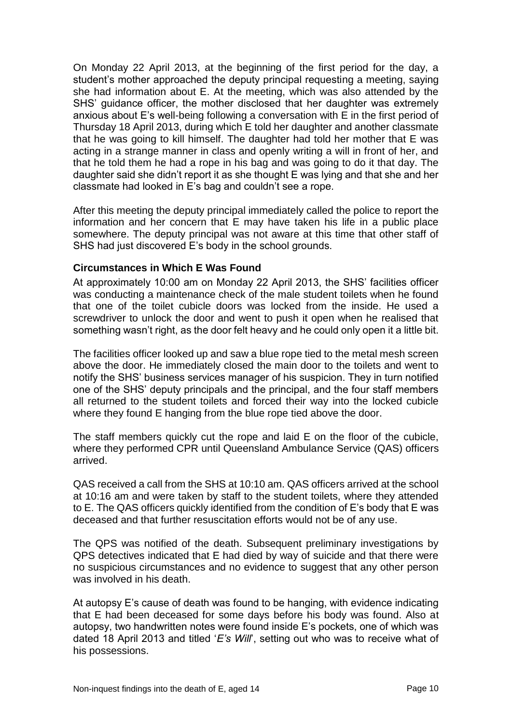On Monday 22 April 2013, at the beginning of the first period for the day, a student's mother approached the deputy principal requesting a meeting, saying she had information about E. At the meeting, which was also attended by the SHS' guidance officer, the mother disclosed that her daughter was extremely anxious about E's well-being following a conversation with E in the first period of Thursday 18 April 2013, during which E told her daughter and another classmate that he was going to kill himself. The daughter had told her mother that E was acting in a strange manner in class and openly writing a will in front of her, and that he told them he had a rope in his bag and was going to do it that day. The daughter said she didn't report it as she thought E was lying and that she and her classmate had looked in E's bag and couldn't see a rope.

After this meeting the deputy principal immediately called the police to report the information and her concern that E may have taken his life in a public place somewhere. The deputy principal was not aware at this time that other staff of SHS had just discovered E's body in the school grounds.

#### **Circumstances in Which E Was Found**

At approximately 10:00 am on Monday 22 April 2013, the SHS' facilities officer was conducting a maintenance check of the male student toilets when he found that one of the toilet cubicle doors was locked from the inside. He used a screwdriver to unlock the door and went to push it open when he realised that something wasn't right, as the door felt heavy and he could only open it a little bit.

The facilities officer looked up and saw a blue rope tied to the metal mesh screen above the door. He immediately closed the main door to the toilets and went to notify the SHS' business services manager of his suspicion. They in turn notified one of the SHS' deputy principals and the principal, and the four staff members all returned to the student toilets and forced their way into the locked cubicle where they found E hanging from the blue rope tied above the door.

The staff members quickly cut the rope and laid E on the floor of the cubicle, where they performed CPR until Queensland Ambulance Service (QAS) officers arrived.

QAS received a call from the SHS at 10:10 am. QAS officers arrived at the school at 10:16 am and were taken by staff to the student toilets, where they attended to E. The QAS officers quickly identified from the condition of E's body that E was deceased and that further resuscitation efforts would not be of any use.

The QPS was notified of the death. Subsequent preliminary investigations by QPS detectives indicated that E had died by way of suicide and that there were no suspicious circumstances and no evidence to suggest that any other person was involved in his death.

At autopsy E's cause of death was found to be hanging, with evidence indicating that E had been deceased for some days before his body was found. Also at autopsy, two handwritten notes were found inside E's pockets, one of which was dated 18 April 2013 and titled '*E's Will*', setting out who was to receive what of his possessions.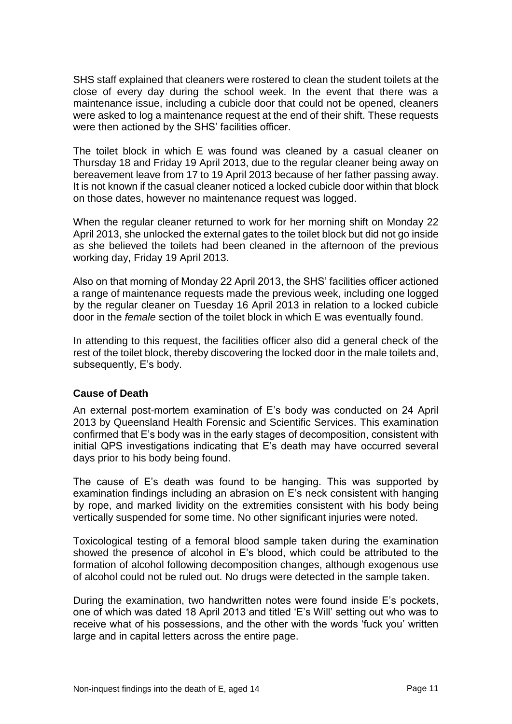SHS staff explained that cleaners were rostered to clean the student toilets at the close of every day during the school week. In the event that there was a maintenance issue, including a cubicle door that could not be opened, cleaners were asked to log a maintenance request at the end of their shift. These requests were then actioned by the SHS' facilities officer.

The toilet block in which E was found was cleaned by a casual cleaner on Thursday 18 and Friday 19 April 2013, due to the regular cleaner being away on bereavement leave from 17 to 19 April 2013 because of her father passing away. It is not known if the casual cleaner noticed a locked cubicle door within that block on those dates, however no maintenance request was logged.

When the regular cleaner returned to work for her morning shift on Monday 22 April 2013, she unlocked the external gates to the toilet block but did not go inside as she believed the toilets had been cleaned in the afternoon of the previous working day, Friday 19 April 2013.

Also on that morning of Monday 22 April 2013, the SHS' facilities officer actioned a range of maintenance requests made the previous week, including one logged by the regular cleaner on Tuesday 16 April 2013 in relation to a locked cubicle door in the *female* section of the toilet block in which E was eventually found.

In attending to this request, the facilities officer also did a general check of the rest of the toilet block, thereby discovering the locked door in the male toilets and, subsequently, E's body.

#### **Cause of Death**

An external post-mortem examination of E's body was conducted on 24 April 2013 by Queensland Health Forensic and Scientific Services. This examination confirmed that E's body was in the early stages of decomposition, consistent with initial QPS investigations indicating that E's death may have occurred several days prior to his body being found.

The cause of E's death was found to be hanging. This was supported by examination findings including an abrasion on E's neck consistent with hanging by rope, and marked lividity on the extremities consistent with his body being vertically suspended for some time. No other significant injuries were noted.

Toxicological testing of a femoral blood sample taken during the examination showed the presence of alcohol in E's blood, which could be attributed to the formation of alcohol following decomposition changes, although exogenous use of alcohol could not be ruled out. No drugs were detected in the sample taken.

During the examination, two handwritten notes were found inside E's pockets, one of which was dated 18 April 2013 and titled 'E's Will' setting out who was to receive what of his possessions, and the other with the words 'fuck you' written large and in capital letters across the entire page.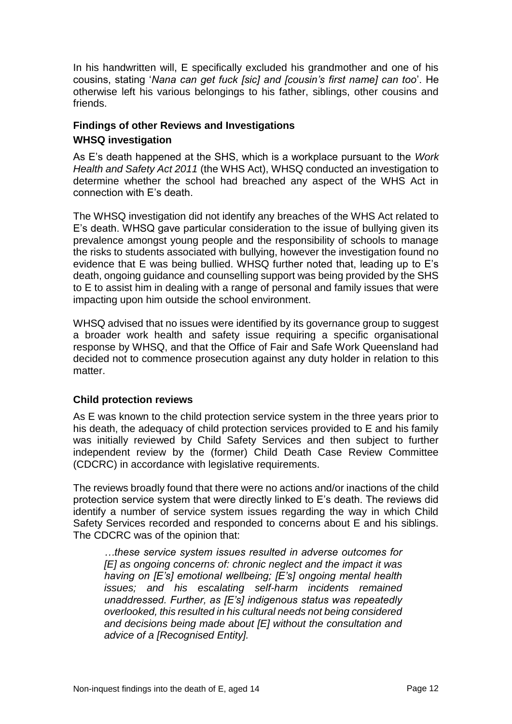In his handwritten will, E specifically excluded his grandmother and one of his cousins, stating '*Nana can get fuck [sic] and [cousin's first name] can too*'. He otherwise left his various belongings to his father, siblings, other cousins and friends.

## **Findings of other Reviews and Investigations WHSQ investigation**

As E's death happened at the SHS, which is a workplace pursuant to the *Work Health and Safety Act 2011* (the WHS Act), WHSQ conducted an investigation to determine whether the school had breached any aspect of the WHS Act in connection with E's death.

The WHSQ investigation did not identify any breaches of the WHS Act related to E's death. WHSQ gave particular consideration to the issue of bullying given its prevalence amongst young people and the responsibility of schools to manage the risks to students associated with bullying, however the investigation found no evidence that E was being bullied. WHSQ further noted that, leading up to E's death, ongoing guidance and counselling support was being provided by the SHS to E to assist him in dealing with a range of personal and family issues that were impacting upon him outside the school environment.

WHSQ advised that no issues were identified by its governance group to suggest a broader work health and safety issue requiring a specific organisational response by WHSQ, and that the Office of Fair and Safe Work Queensland had decided not to commence prosecution against any duty holder in relation to this matter.

#### **Child protection reviews**

As E was known to the child protection service system in the three years prior to his death, the adequacy of child protection services provided to E and his family was initially reviewed by Child Safety Services and then subject to further independent review by the (former) Child Death Case Review Committee (CDCRC) in accordance with legislative requirements.

The reviews broadly found that there were no actions and/or inactions of the child protection service system that were directly linked to E's death. The reviews did identify a number of service system issues regarding the way in which Child Safety Services recorded and responded to concerns about E and his siblings. The CDCRC was of the opinion that:

*…these service system issues resulted in adverse outcomes for [E] as ongoing concerns of: chronic neglect and the impact it was having on [E's] emotional wellbeing; [E's] ongoing mental health issues; and his escalating self-harm incidents remained unaddressed. Further, as [E's] indigenous status was repeatedly overlooked, this resulted in his cultural needs not being considered and decisions being made about [E] without the consultation and advice of a [Recognised Entity].*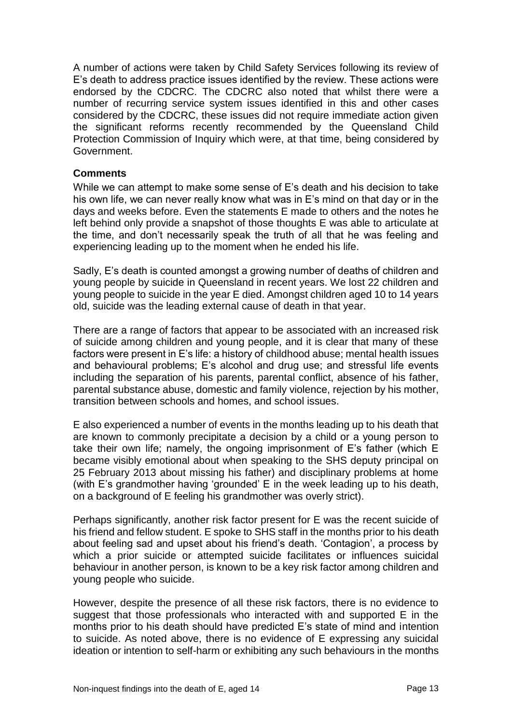A number of actions were taken by Child Safety Services following its review of E's death to address practice issues identified by the review. These actions were endorsed by the CDCRC. The CDCRC also noted that whilst there were a number of recurring service system issues identified in this and other cases considered by the CDCRC, these issues did not require immediate action given the significant reforms recently recommended by the Queensland Child Protection Commission of Inquiry which were, at that time, being considered by Government.

#### **Comments**

While we can attempt to make some sense of E's death and his decision to take his own life, we can never really know what was in E's mind on that day or in the days and weeks before. Even the statements E made to others and the notes he left behind only provide a snapshot of those thoughts E was able to articulate at the time, and don't necessarily speak the truth of all that he was feeling and experiencing leading up to the moment when he ended his life.

Sadly, E's death is counted amongst a growing number of deaths of children and young people by suicide in Queensland in recent years. We lost 22 children and young people to suicide in the year E died. Amongst children aged 10 to 14 years old, suicide was the leading external cause of death in that year.

There are a range of factors that appear to be associated with an increased risk of suicide among children and young people, and it is clear that many of these factors were present in E's life: a history of childhood abuse; mental health issues and behavioural problems; E's alcohol and drug use; and stressful life events including the separation of his parents, parental conflict, absence of his father, parental substance abuse, domestic and family violence, rejection by his mother, transition between schools and homes, and school issues.

E also experienced a number of events in the months leading up to his death that are known to commonly precipitate a decision by a child or a young person to take their own life; namely, the ongoing imprisonment of E's father (which E became visibly emotional about when speaking to the SHS deputy principal on 25 February 2013 about missing his father) and disciplinary problems at home (with E's grandmother having 'grounded' E in the week leading up to his death, on a background of E feeling his grandmother was overly strict).

Perhaps significantly, another risk factor present for E was the recent suicide of his friend and fellow student. E spoke to SHS staff in the months prior to his death about feeling sad and upset about his friend's death. 'Contagion', a process by which a prior suicide or attempted suicide facilitates or influences suicidal behaviour in another person, is known to be a key risk factor among children and young people who suicide.

However, despite the presence of all these risk factors, there is no evidence to suggest that those professionals who interacted with and supported E in the months prior to his death should have predicted E's state of mind and intention to suicide. As noted above, there is no evidence of E expressing any suicidal ideation or intention to self-harm or exhibiting any such behaviours in the months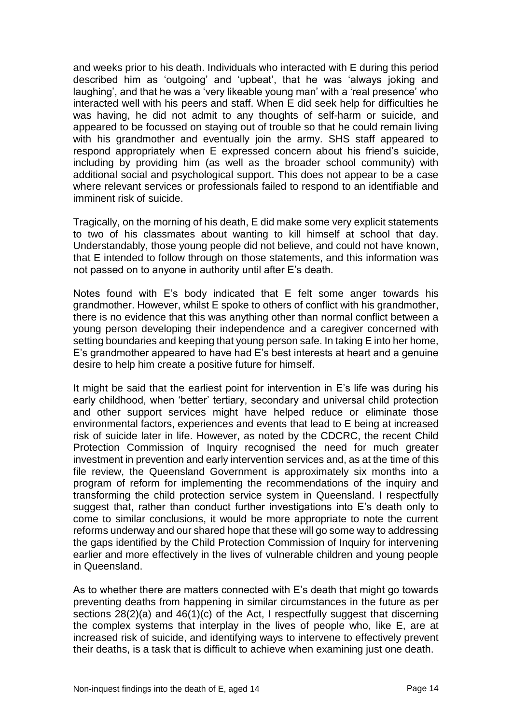and weeks prior to his death. Individuals who interacted with E during this period described him as 'outgoing' and 'upbeat', that he was 'always joking and laughing', and that he was a 'very likeable young man' with a 'real presence' who interacted well with his peers and staff. When E did seek help for difficulties he was having, he did not admit to any thoughts of self-harm or suicide, and appeared to be focussed on staying out of trouble so that he could remain living with his grandmother and eventually join the army. SHS staff appeared to respond appropriately when E expressed concern about his friend's suicide, including by providing him (as well as the broader school community) with additional social and psychological support. This does not appear to be a case where relevant services or professionals failed to respond to an identifiable and imminent risk of suicide.

Tragically, on the morning of his death, E did make some very explicit statements to two of his classmates about wanting to kill himself at school that day. Understandably, those young people did not believe, and could not have known, that E intended to follow through on those statements, and this information was not passed on to anyone in authority until after E's death.

Notes found with E's body indicated that E felt some anger towards his grandmother. However, whilst E spoke to others of conflict with his grandmother, there is no evidence that this was anything other than normal conflict between a young person developing their independence and a caregiver concerned with setting boundaries and keeping that young person safe. In taking E into her home, E's grandmother appeared to have had E's best interests at heart and a genuine desire to help him create a positive future for himself.

It might be said that the earliest point for intervention in E's life was during his early childhood, when 'better' tertiary, secondary and universal child protection and other support services might have helped reduce or eliminate those environmental factors, experiences and events that lead to E being at increased risk of suicide later in life. However, as noted by the CDCRC, the recent Child Protection Commission of Inquiry recognised the need for much greater investment in prevention and early intervention services and, as at the time of this file review, the Queensland Government is approximately six months into a program of reform for implementing the recommendations of the inquiry and transforming the child protection service system in Queensland. I respectfully suggest that, rather than conduct further investigations into E's death only to come to similar conclusions, it would be more appropriate to note the current reforms underway and our shared hope that these will go some way to addressing the gaps identified by the Child Protection Commission of Inquiry for intervening earlier and more effectively in the lives of vulnerable children and young people in Queensland.

As to whether there are matters connected with E's death that might go towards preventing deaths from happening in similar circumstances in the future as per sections 28(2)(a) and 46(1)(c) of the Act, I respectfully suggest that discerning the complex systems that interplay in the lives of people who, like E, are at increased risk of suicide, and identifying ways to intervene to effectively prevent their deaths, is a task that is difficult to achieve when examining just one death.